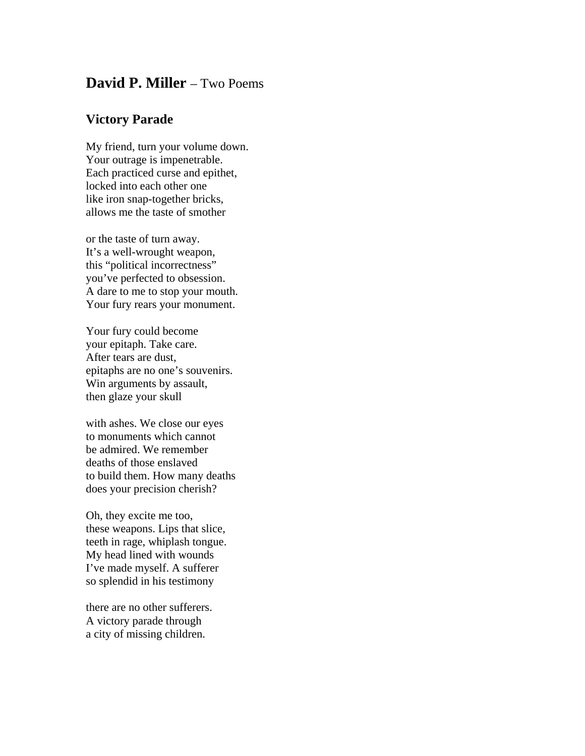## **David P. Miller** – Two Poems

## **Victory Parade**

My friend, turn your volume down. Your outrage is impenetrable. Each practiced curse and epithet, locked into each other one like iron snap-together bricks, allows me the taste of smother

or the taste of turn away. It's a well-wrought weapon, this "political incorrectness" you've perfected to obsession. A dare to me to stop your mouth. Your fury rears your monument.

Your fury could become your epitaph. Take care. After tears are dust, epitaphs are no one's souvenirs. Win arguments by assault, then glaze your skull

with ashes. We close our eyes to monuments which cannot be admired. We remember deaths of those enslaved to build them. How many deaths does your precision cherish?

Oh, they excite me too, these weapons. Lips that slice, teeth in rage, whiplash tongue. My head lined with wounds I've made myself. A sufferer so splendid in his testimony

there are no other sufferers. A victory parade through a city of missing children.